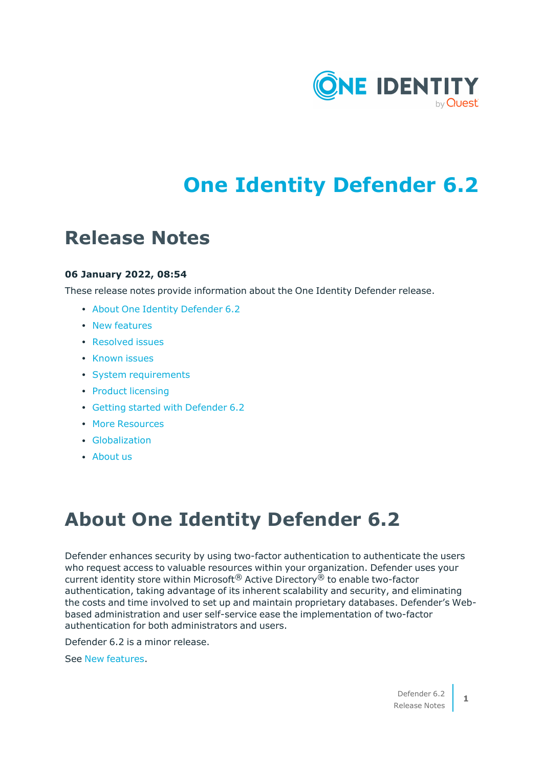

# **One Identity Defender 6.2**

## **Release Notes**

### **06 January 2022, 08:54**

These release notes provide information about the One Identity Defender release.

- About One Identity [Defender](#page-0-0) 6.2
- New [features](#page-1-0)
- [Resolved](#page-1-1) issues
- [Known](#page-2-0) issues
- System [requirements](#page-8-0)
- Product [licensing](#page-20-0)
- Getting started with [Defender](#page-20-1) 6.2
- More [Resources](#page-21-0)
- **·** [Globalization](#page-21-1)
- [About](#page-22-0) us

# <span id="page-0-0"></span>**About One Identity Defender 6.2**

Defender enhances security by using two-factor authentication to authenticate the users who request access to valuable resources within your organization. Defender uses your current identity store within Microsoft® Active Directory® to enable two-factor authentication, taking advantage of its inherent scalability and security, and eliminating the costs and time involved to set up and maintain proprietary databases. Defender's Webbased administration and user self-service ease the implementation of two-factor authentication for both administrators and users.

Defender 6.2 is a minor release.

See New [features](#page-1-0).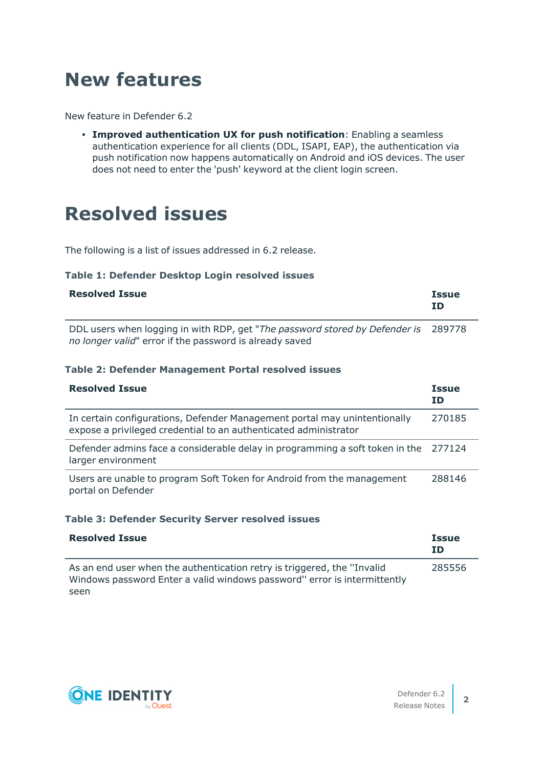# <span id="page-1-0"></span>**New features**

New feature in Defender 6.2

<sup>l</sup> **Improved authentication UX for push notification**: Enabling a seamless authentication experience for all clients (DDL, ISAPI, EAP), the authentication via push notification now happens automatically on Android and iOS devices. The user does not need to enter the 'push' keyword at the client login screen.

## <span id="page-1-1"></span>**Resolved issues**

The following is a list of issues addressed in 6.2 release.

### **Table 1: Defender Desktop Login resolved issues**

| <b>Resolved Issue</b> | <b>Issue</b><br>ΙD |
|-----------------------|--------------------|
|                       |                    |

DDL users when logging in with RDP, get "*The password stored by Defender is* 289778 *no longer valid*" error if the password is already saved

### **Table 2: Defender Management Portal resolved issues**

| <b>Resolved Issue</b>                                                                                                                         | <b>Issue</b><br>ΙD |
|-----------------------------------------------------------------------------------------------------------------------------------------------|--------------------|
| In certain configurations, Defender Management portal may unintentionally<br>expose a privileged credential to an authenticated administrator | 270185             |
| Defender admins face a considerable delay in programming a soft token in the<br>larger environment                                            | 277124             |
| Users are unable to program Soft Token for Android from the management<br>portal on Defender                                                  | 288146             |

#### **Table 3: Defender Security Server resolved issues**

| <b>Resolved Issue</b>                                                                                                                                | <b>Issue</b><br>ΙD |
|------------------------------------------------------------------------------------------------------------------------------------------------------|--------------------|
| As an end user when the authentication retry is triggered, the "Invalid"<br>Windows password Enter a valid windows password" error is intermittently | 285556             |
| seen                                                                                                                                                 |                    |

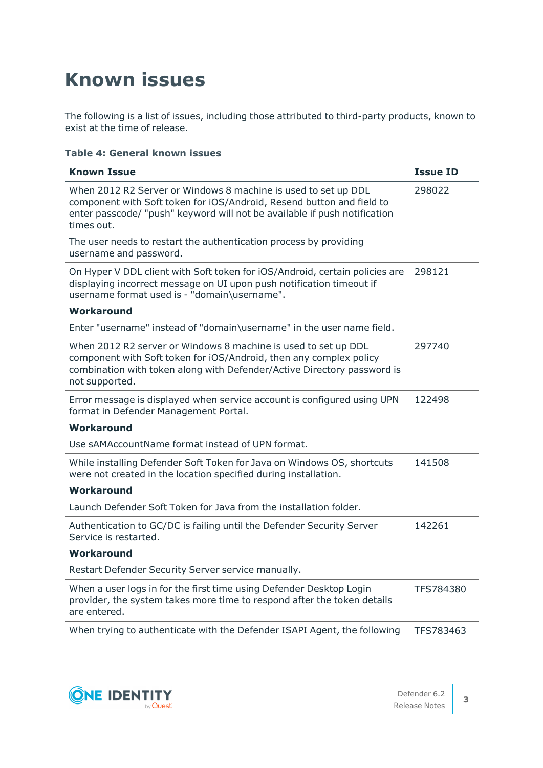# <span id="page-2-0"></span>**Known issues**

The following is a list of issues, including those attributed to third-party products, known to exist at the time of release.

### **Table 4: General known issues**

| <b>Known Issue</b>                                                                                                                                                                                                                 | <b>Issue ID</b> |
|------------------------------------------------------------------------------------------------------------------------------------------------------------------------------------------------------------------------------------|-----------------|
| When 2012 R2 Server or Windows 8 machine is used to set up DDL<br>component with Soft token for iOS/Android, Resend button and field to<br>enter passcode/ "push" keyword will not be available if push notification<br>times out. | 298022          |
| The user needs to restart the authentication process by providing<br>username and password.                                                                                                                                        |                 |
| On Hyper V DDL client with Soft token for iOS/Android, certain policies are<br>displaying incorrect message on UI upon push notification timeout if<br>username format used is - "domain\username".                                | 298121          |
| Workaround                                                                                                                                                                                                                         |                 |
| Enter "username" instead of "domain\username" in the user name field.                                                                                                                                                              |                 |
| When 2012 R2 server or Windows 8 machine is used to set up DDL<br>component with Soft token for iOS/Android, then any complex policy<br>combination with token along with Defender/Active Directory password is<br>not supported.  | 297740          |
| Error message is displayed when service account is configured using UPN<br>format in Defender Management Portal.                                                                                                                   | 122498          |
| Workaround                                                                                                                                                                                                                         |                 |
| Use sAMAccountName format instead of UPN format.                                                                                                                                                                                   |                 |
| While installing Defender Soft Token for Java on Windows OS, shortcuts<br>were not created in the location specified during installation.                                                                                          | 141508          |
| Workaround                                                                                                                                                                                                                         |                 |
| Launch Defender Soft Token for Java from the installation folder.                                                                                                                                                                  |                 |
| Authentication to GC/DC is failing until the Defender Security Server<br>Service is restarted.                                                                                                                                     | 142261          |
| Workaround                                                                                                                                                                                                                         |                 |
| Restart Defender Security Server service manually.                                                                                                                                                                                 |                 |
| When a user logs in for the first time using Defender Desktop Login<br>provider, the system takes more time to respond after the token details<br>are entered.                                                                     | TFS784380       |
| When trying to authenticate with the Defender ISAPI Agent, the following                                                                                                                                                           | TFS783463       |

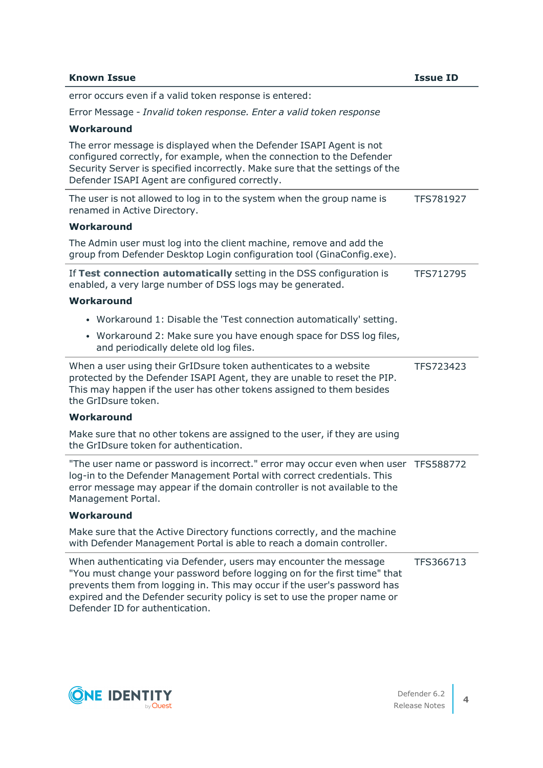| <b>Known Issue</b>                                                                                                                                                                                                                                                                                                                         | <b>Issue ID</b> |
|--------------------------------------------------------------------------------------------------------------------------------------------------------------------------------------------------------------------------------------------------------------------------------------------------------------------------------------------|-----------------|
| error occurs even if a valid token response is entered:                                                                                                                                                                                                                                                                                    |                 |
| Error Message - Invalid token response. Enter a valid token response                                                                                                                                                                                                                                                                       |                 |
| Workaround                                                                                                                                                                                                                                                                                                                                 |                 |
| The error message is displayed when the Defender ISAPI Agent is not<br>configured correctly, for example, when the connection to the Defender<br>Security Server is specified incorrectly. Make sure that the settings of the<br>Defender ISAPI Agent are configured correctly.                                                            |                 |
| The user is not allowed to log in to the system when the group name is<br>renamed in Active Directory.                                                                                                                                                                                                                                     | TFS781927       |
| Workaround                                                                                                                                                                                                                                                                                                                                 |                 |
| The Admin user must log into the client machine, remove and add the<br>group from Defender Desktop Login configuration tool (GinaConfig.exe).                                                                                                                                                                                              |                 |
| If Test connection automatically setting in the DSS configuration is<br>enabled, a very large number of DSS logs may be generated.                                                                                                                                                                                                         | TFS712795       |
| Workaround                                                                                                                                                                                                                                                                                                                                 |                 |
| • Workaround 1: Disable the 'Test connection automatically' setting.                                                                                                                                                                                                                                                                       |                 |
| • Workaround 2: Make sure you have enough space for DSS log files,<br>and periodically delete old log files.                                                                                                                                                                                                                               |                 |
| When a user using their GrIDsure token authenticates to a website<br>protected by the Defender ISAPI Agent, they are unable to reset the PIP.<br>This may happen if the user has other tokens assigned to them besides<br>the GrIDsure token.                                                                                              | TFS723423       |
| Workaround                                                                                                                                                                                                                                                                                                                                 |                 |
| Make sure that no other tokens are assigned to the user, if they are using<br>the GrIDsure token for authentication.                                                                                                                                                                                                                       |                 |
| "The user name or password is incorrect." error may occur even when user TFS588772<br>log-in to the Defender Management Portal with correct credentials. This<br>error message may appear if the domain controller is not available to the<br>Management Portal.                                                                           |                 |
| Workaround                                                                                                                                                                                                                                                                                                                                 |                 |
| Make sure that the Active Directory functions correctly, and the machine<br>with Defender Management Portal is able to reach a domain controller.                                                                                                                                                                                          |                 |
| When authenticating via Defender, users may encounter the message<br>"You must change your password before logging on for the first time" that<br>prevents them from logging in. This may occur if the user's password has<br>expired and the Defender security policy is set to use the proper name or<br>Defender ID for authentication. | TFS366713       |

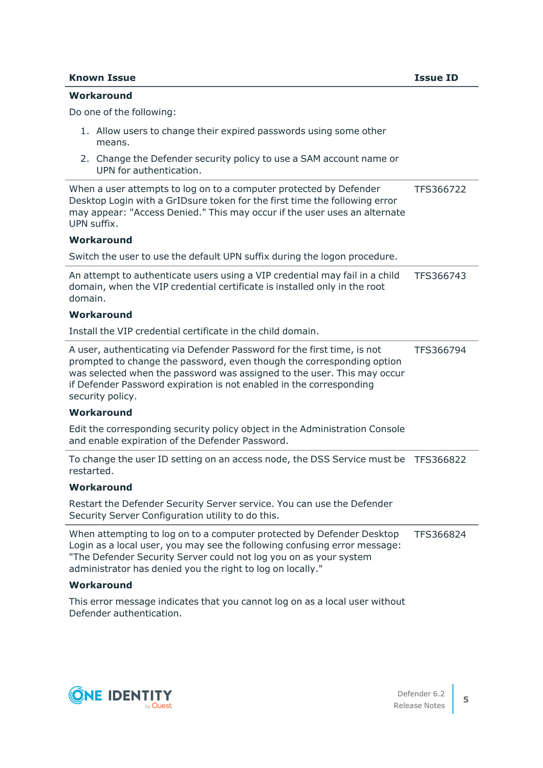#### **Known Issue Issue ID**

#### **Workaround**

Do one of the following:

- 1. Allow users to change their expired passwords using some other means.
- 2. Change the Defender security policy to use a SAM account name or UPN for authentication.

| When a user attempts to log on to a computer protected by Defender         | TFS366722 |
|----------------------------------------------------------------------------|-----------|
| Desktop Login with a GrIDsure token for the first time the following error |           |
| may appear: "Access Denied." This may occur if the user uses an alternate  |           |
| UPN suffix.                                                                |           |
| $\mathbf{A} \mathbf{A} \mathbf{A}$                                         |           |

#### **Workaround**

Switch the user to use the default UPN suffix during the logon procedure.

| An attempt to authenticate users using a VIP credential may fail in a child | TFS366743 |
|-----------------------------------------------------------------------------|-----------|
| domain, when the VIP credential certificate is installed only in the root   |           |
| domain.                                                                     |           |

#### **Workaround**

Install the VIP credential certificate in the child domain.

| A user, authenticating via Defender Password for the first time, is not | TFS366794 |
|-------------------------------------------------------------------------|-----------|
| prompted to change the password, even though the corresponding option   |           |
| was selected when the password was assigned to the user. This may occur |           |
| if Defender Password expiration is not enabled in the corresponding     |           |
| security policy.                                                        |           |

#### **Workaround**

Edit the corresponding security policy object in the Administration Console and enable expiration of the Defender Password.

To change the user ID setting on an access node, the DSS Service must be TFS366822 restarted.

#### **Workaround**

Restart the Defender Security Server service. You can use the Defender Security Server Configuration utility to do this.

When attempting to log on to a computer protected by Defender Desktop Login as a local user, you may see the following confusing error message: "The Defender Security Server could not log you on as your system administrator has denied you the right to log on locally." TFS366824

#### **Workaround**

This error message indicates that you cannot log on as a local user without Defender authentication.

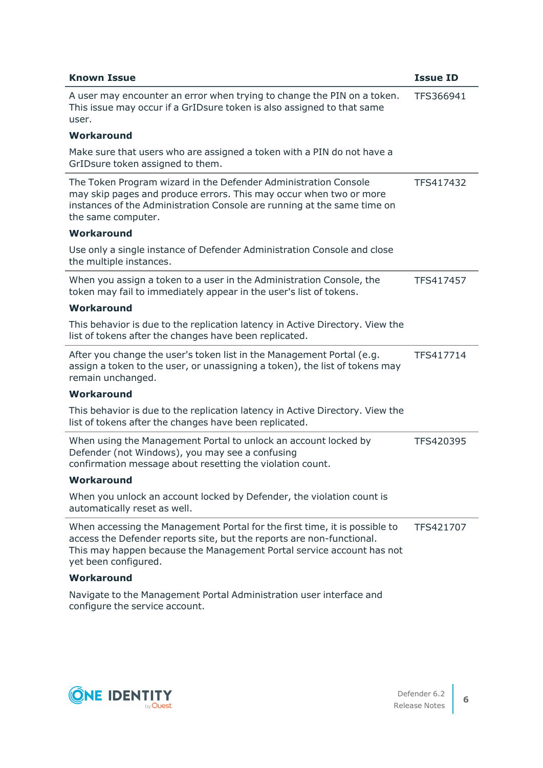| <b>Known Issue</b>                                                                                                                                                                                                                                   | <b>Issue ID</b> |
|------------------------------------------------------------------------------------------------------------------------------------------------------------------------------------------------------------------------------------------------------|-----------------|
| A user may encounter an error when trying to change the PIN on a token.<br>This issue may occur if a GrIDsure token is also assigned to that same<br>user.                                                                                           | TFS366941       |
| Workaround                                                                                                                                                                                                                                           |                 |
| Make sure that users who are assigned a token with a PIN do not have a<br>GrIDsure token assigned to them.                                                                                                                                           |                 |
| The Token Program wizard in the Defender Administration Console<br>may skip pages and produce errors. This may occur when two or more<br>instances of the Administration Console are running at the same time on<br>the same computer.               | TFS417432       |
| Workaround                                                                                                                                                                                                                                           |                 |
| Use only a single instance of Defender Administration Console and close<br>the multiple instances.                                                                                                                                                   |                 |
| When you assign a token to a user in the Administration Console, the<br>token may fail to immediately appear in the user's list of tokens.                                                                                                           | TFS417457       |
| Workaround                                                                                                                                                                                                                                           |                 |
| This behavior is due to the replication latency in Active Directory. View the<br>list of tokens after the changes have been replicated.                                                                                                              |                 |
| After you change the user's token list in the Management Portal (e.g.<br>assign a token to the user, or unassigning a token), the list of tokens may<br>remain unchanged.                                                                            | TFS417714       |
| Workaround                                                                                                                                                                                                                                           |                 |
| This behavior is due to the replication latency in Active Directory. View the<br>list of tokens after the changes have been replicated.                                                                                                              |                 |
| When using the Management Portal to unlock an account locked by<br>Defender (not Windows), you may see a confusing<br>confirmation message about resetting the violation count.                                                                      | TFS420395       |
| Workaround                                                                                                                                                                                                                                           |                 |
| When you unlock an account locked by Defender, the violation count is<br>automatically reset as well.                                                                                                                                                |                 |
| When accessing the Management Portal for the first time, it is possible to<br>access the Defender reports site, but the reports are non-functional.<br>This may happen because the Management Portal service account has not<br>yet been configured. | TFS421707       |
| Workaround                                                                                                                                                                                                                                           |                 |
| Navigate to the Management Portal Administration user interface and<br>configure the service account.                                                                                                                                                |                 |

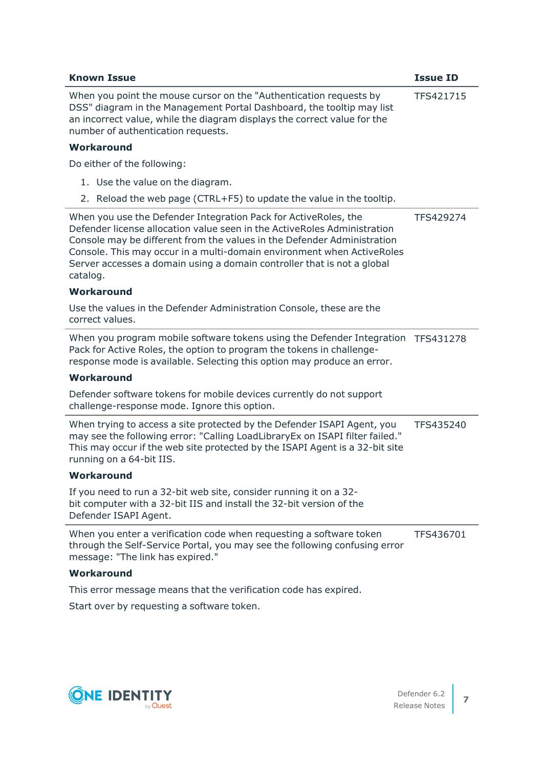| <b>Known Issue</b>                                                                                                                                                                                                                                                                                                                                                                      | <b>Issue ID</b> |
|-----------------------------------------------------------------------------------------------------------------------------------------------------------------------------------------------------------------------------------------------------------------------------------------------------------------------------------------------------------------------------------------|-----------------|
| When you point the mouse cursor on the "Authentication requests by<br>DSS" diagram in the Management Portal Dashboard, the tooltip may list<br>an incorrect value, while the diagram displays the correct value for the<br>number of authentication requests.                                                                                                                           | TFS421715       |
| Workaround                                                                                                                                                                                                                                                                                                                                                                              |                 |
| Do either of the following:                                                                                                                                                                                                                                                                                                                                                             |                 |
| 1. Use the value on the diagram.                                                                                                                                                                                                                                                                                                                                                        |                 |
| 2. Reload the web page (CTRL+F5) to update the value in the tooltip.                                                                                                                                                                                                                                                                                                                    |                 |
| When you use the Defender Integration Pack for ActiveRoles, the<br>Defender license allocation value seen in the ActiveRoles Administration<br>Console may be different from the values in the Defender Administration<br>Console. This may occur in a multi-domain environment when ActiveRoles<br>Server accesses a domain using a domain controller that is not a global<br>catalog. | TFS429274       |
| Workaround                                                                                                                                                                                                                                                                                                                                                                              |                 |
| Use the values in the Defender Administration Console, these are the<br>correct values.                                                                                                                                                                                                                                                                                                 |                 |
| When you program mobile software tokens using the Defender Integration TFS431278<br>Pack for Active Roles, the option to program the tokens in challenge-<br>response mode is available. Selecting this option may produce an error.                                                                                                                                                    |                 |
| Workaround                                                                                                                                                                                                                                                                                                                                                                              |                 |
| Defender software tokens for mobile devices currently do not support<br>challenge-response mode. Ignore this option.                                                                                                                                                                                                                                                                    |                 |
| When trying to access a site protected by the Defender ISAPI Agent, you<br>may see the following error: "Calling LoadLibraryEx on ISAPI filter failed."<br>This may occur if the web site protected by the ISAPI Agent is a 32-bit site<br>running on a 64-bit IIS.                                                                                                                     | TFS435240       |
| Workaround                                                                                                                                                                                                                                                                                                                                                                              |                 |
| If you need to run a 32-bit web site, consider running it on a 32-<br>bit computer with a 32-bit IIS and install the 32-bit version of the<br>Defender ISAPI Agent.                                                                                                                                                                                                                     |                 |
| When you enter a verification code when requesting a software token<br>through the Self-Service Portal, you may see the following confusing error<br>message: "The link has expired."                                                                                                                                                                                                   | TFS436701       |
| Workaround                                                                                                                                                                                                                                                                                                                                                                              |                 |

This error message means that the verification code has expired.

Start over by requesting a software token.

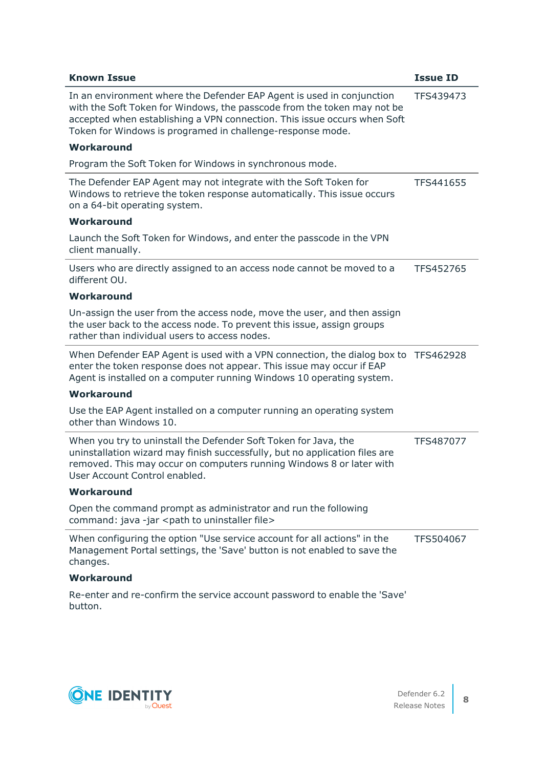| <b>Known Issue</b>                                                                                                                                                                                                                                                                         | <b>Issue ID</b> |
|--------------------------------------------------------------------------------------------------------------------------------------------------------------------------------------------------------------------------------------------------------------------------------------------|-----------------|
| In an environment where the Defender EAP Agent is used in conjunction<br>with the Soft Token for Windows, the passcode from the token may not be<br>accepted when establishing a VPN connection. This issue occurs when Soft<br>Token for Windows is programed in challenge-response mode. | TFS439473       |
| Workaround                                                                                                                                                                                                                                                                                 |                 |
| Program the Soft Token for Windows in synchronous mode.                                                                                                                                                                                                                                    |                 |
| The Defender EAP Agent may not integrate with the Soft Token for<br>Windows to retrieve the token response automatically. This issue occurs<br>on a 64-bit operating system.                                                                                                               | TFS441655       |
| Workaround                                                                                                                                                                                                                                                                                 |                 |
| Launch the Soft Token for Windows, and enter the passcode in the VPN<br>client manually.                                                                                                                                                                                                   |                 |
| Users who are directly assigned to an access node cannot be moved to a<br>different OU.                                                                                                                                                                                                    | TFS452765       |
| Workaround                                                                                                                                                                                                                                                                                 |                 |
| Un-assign the user from the access node, move the user, and then assign<br>the user back to the access node. To prevent this issue, assign groups<br>rather than individual users to access nodes.                                                                                         |                 |
| When Defender EAP Agent is used with a VPN connection, the dialog box to TFS462928<br>enter the token response does not appear. This issue may occur if EAP<br>Agent is installed on a computer running Windows 10 operating system.                                                       |                 |
| Workaround                                                                                                                                                                                                                                                                                 |                 |
| Use the EAP Agent installed on a computer running an operating system<br>other than Windows 10.                                                                                                                                                                                            |                 |
| When you try to uninstall the Defender Soft Token for Java, the<br>uninstallation wizard may finish successfully, but no application files are<br>removed. This may occur on computers running Windows 8 or later with<br>User Account Control enabled.                                    | TFS487077       |
| Workaround                                                                                                                                                                                                                                                                                 |                 |
| Open the command prompt as administrator and run the following<br>command: java -jar <path file="" to="" uninstaller=""></path>                                                                                                                                                            |                 |
| When configuring the option "Use service account for all actions" in the<br>Management Portal settings, the 'Save' button is not enabled to save the<br>changes.                                                                                                                           | TFS504067       |
| Workaround                                                                                                                                                                                                                                                                                 |                 |
| Re-enter and re-confirm the service account password to enable the 'Save'                                                                                                                                                                                                                  |                 |

button.

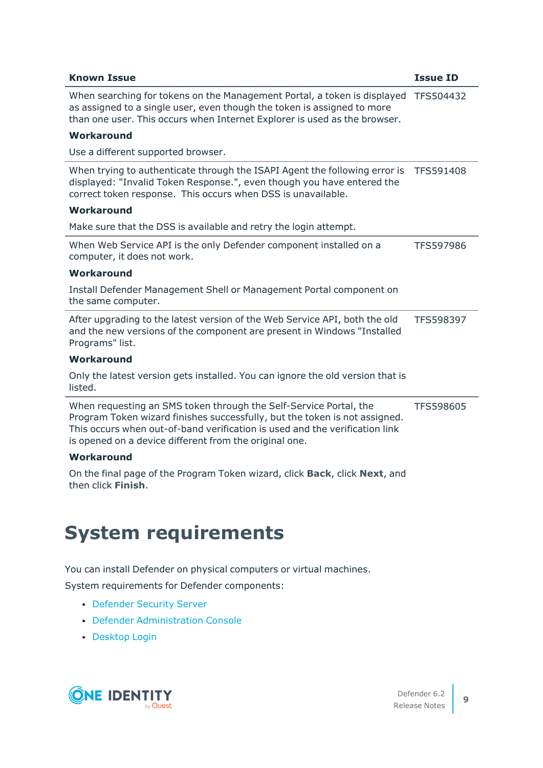| <b>Known Issue</b>                                                                                                                                                                                                                                                                       | <b>Issue ID</b>  |
|------------------------------------------------------------------------------------------------------------------------------------------------------------------------------------------------------------------------------------------------------------------------------------------|------------------|
| When searching for tokens on the Management Portal, a token is displayed<br>as assigned to a single user, even though the token is assigned to more<br>than one user. This occurs when Internet Explorer is used as the browser.                                                         | TFS504432        |
| Workaround                                                                                                                                                                                                                                                                               |                  |
| Use a different supported browser.                                                                                                                                                                                                                                                       |                  |
| When trying to authenticate through the ISAPI Agent the following error is<br>displayed: "Invalid Token Response.", even though you have entered the<br>correct token response. This occurs when DSS is unavailable.                                                                     | <b>TFS591408</b> |
| Workaround                                                                                                                                                                                                                                                                               |                  |
| Make sure that the DSS is available and retry the login attempt.                                                                                                                                                                                                                         |                  |
| When Web Service API is the only Defender component installed on a<br>computer, it does not work.                                                                                                                                                                                        | TFS597986        |
| Workaround                                                                                                                                                                                                                                                                               |                  |
| Install Defender Management Shell or Management Portal component on<br>the same computer.                                                                                                                                                                                                |                  |
| After upgrading to the latest version of the Web Service API, both the old<br>and the new versions of the component are present in Windows "Installed<br>Programs" list.                                                                                                                 | TFS598397        |
| Workaround                                                                                                                                                                                                                                                                               |                  |
| Only the latest version gets installed. You can ignore the old version that is<br>listed.                                                                                                                                                                                                |                  |
| When requesting an SMS token through the Self-Service Portal, the<br>Program Token wizard finishes successfully, but the token is not assigned.<br>This occurs when out-of-band verification is used and the verification link<br>is opened on a device different from the original one. | TFS598605        |
| Workaround                                                                                                                                                                                                                                                                               |                  |
| On the final page of the Program Token wizard, click Back, click Next, and<br>then click Finish.                                                                                                                                                                                         |                  |

# <span id="page-8-0"></span>**System requirements**

You can install Defender on physical computers or virtual machines.

System requirements for Defender components:

- [Defender](#page-9-0) Security Server
- Defender [Administration](#page-10-0) Console
- [Desktop](#page-11-0) Login

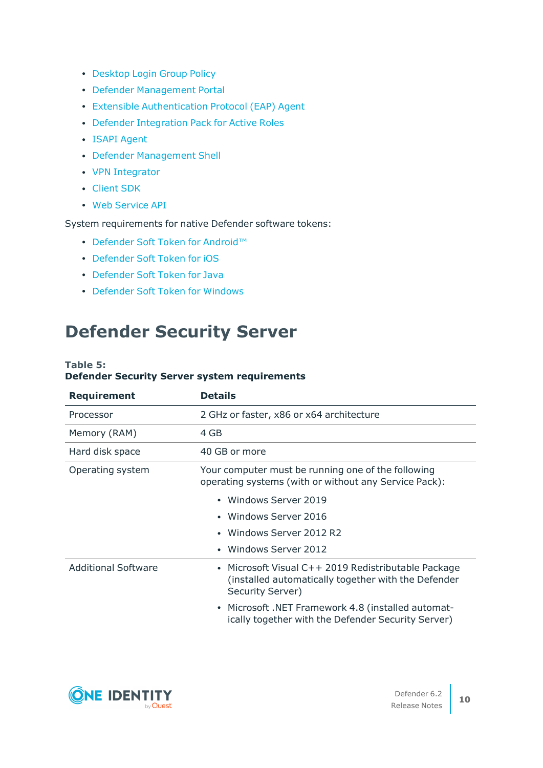- [Desktop](#page-12-0) Login Group Policy
- Defender [Management](#page-12-1) Portal
- **Extensible [Authentication](#page-13-0) Protocol (EAP) Agent**
- Defender [Integration](#page-14-0) Pack for Active Roles
- ISAPI [Agent](#page-15-0)
- Defender [Management](#page-16-0) Shell
- VPN [Integrator](#page-16-1)
- [Client](#page-17-0) SDK
- Web [Service](#page-18-0) API

System requirements for native Defender software tokens:

- Defender Soft Token for [Android™](#page-18-1)
- [Defender](#page-18-2) Soft Token for iOS
- [Defender](#page-19-0) Soft Token for Java
- [Defender](#page-19-1) Soft Token for Windows

## <span id="page-9-0"></span>**Defender Security Server**

#### **Table 5: Defender Security Server system requirements**

| <b>Requirement</b>         | <b>Details</b>                                                                                                               |
|----------------------------|------------------------------------------------------------------------------------------------------------------------------|
| Processor                  | 2 GHz or faster, x86 or x64 architecture                                                                                     |
| Memory (RAM)               | 4 GB                                                                                                                         |
| Hard disk space            | 40 GB or more                                                                                                                |
| Operating system           | Your computer must be running one of the following<br>operating systems (with or without any Service Pack):                  |
|                            | Windows Server 2019                                                                                                          |
|                            | Windows Server 2016                                                                                                          |
|                            | Windows Server 2012 R2                                                                                                       |
|                            | Windows Server 2012                                                                                                          |
| <b>Additional Software</b> | Microsoft Visual C++ 2019 Redistributable Package<br>(installed automatically together with the Defender<br>Security Server) |
|                            | Microsoft .NET Framework 4.8 (installed automat-<br>ically together with the Defender Security Server)                       |

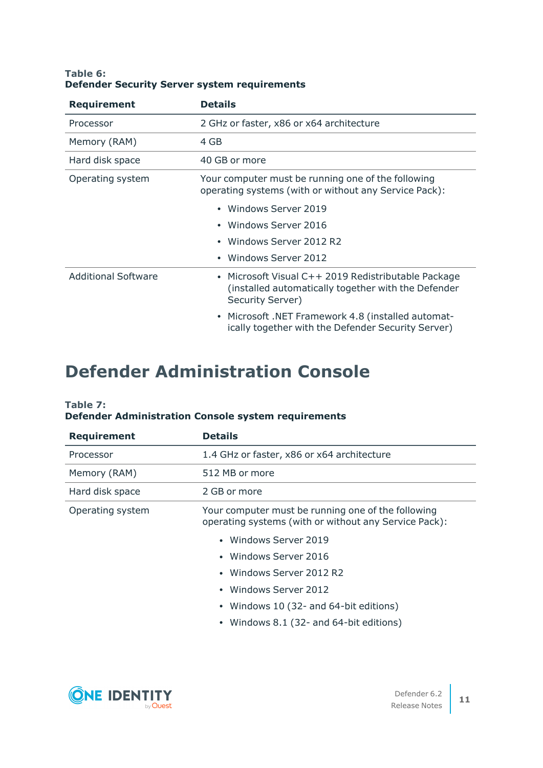| Table 6: |  |                                                     |
|----------|--|-----------------------------------------------------|
|          |  | <b>Defender Security Server system requirements</b> |

| <b>Requirement</b>         | <b>Details</b>                                                                                                                 |  |
|----------------------------|--------------------------------------------------------------------------------------------------------------------------------|--|
| Processor                  | 2 GHz or faster, x86 or x64 architecture                                                                                       |  |
| Memory (RAM)               | 4 GB                                                                                                                           |  |
| Hard disk space            | 40 GB or more                                                                                                                  |  |
| Operating system           | Your computer must be running one of the following<br>operating systems (with or without any Service Pack):                    |  |
|                            | Windows Server 2019                                                                                                            |  |
|                            | Windows Server 2016                                                                                                            |  |
|                            | Windows Server 2012 R2                                                                                                         |  |
|                            | Windows Server 2012                                                                                                            |  |
| <b>Additional Software</b> | • Microsoft Visual C++ 2019 Redistributable Package<br>(installed automatically together with the Defender<br>Security Server) |  |
|                            | • Microsoft .NET Framework 4.8 (installed automat-<br>ically together with the Defender Security Server)                       |  |

## <span id="page-10-0"></span>**Defender Administration Console**

#### **Table 7: Defender Administration Console system requirements**

| <b>Requirement</b> | <b>Details</b>                                                                                              |  |
|--------------------|-------------------------------------------------------------------------------------------------------------|--|
| Processor          | 1.4 GHz or faster, x86 or x64 architecture                                                                  |  |
| Memory (RAM)       | 512 MB or more                                                                                              |  |
| Hard disk space    | 2 GB or more                                                                                                |  |
| Operating system   | Your computer must be running one of the following<br>operating systems (with or without any Service Pack): |  |
|                    | • Windows Server 2019                                                                                       |  |
|                    | • Windows Server 2016                                                                                       |  |
|                    | • Windows Server 2012 R2                                                                                    |  |
|                    | Windows Server 2012<br>$\bullet$                                                                            |  |
|                    | • Windows 10 (32- and 64-bit editions)                                                                      |  |
|                    | • Windows 8.1 (32- and 64-bit editions)                                                                     |  |

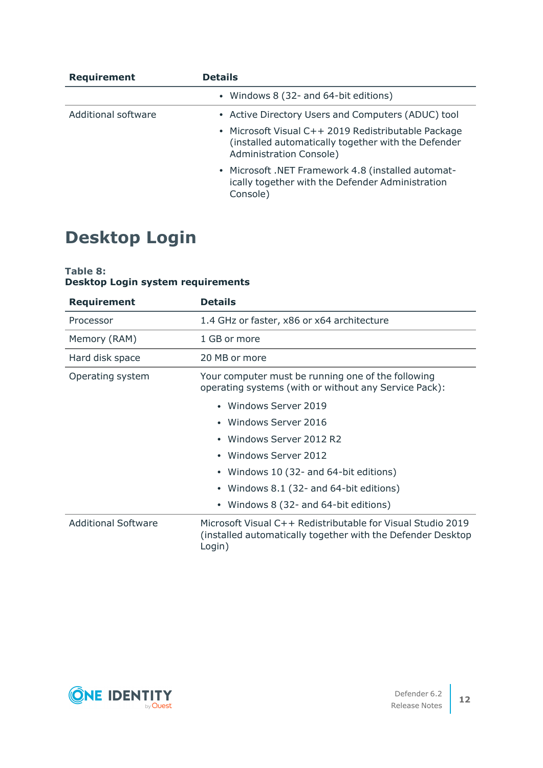| <b>Requirement</b>  | <b>Details</b>                                                                                                                               |  |  |
|---------------------|----------------------------------------------------------------------------------------------------------------------------------------------|--|--|
|                     | • Windows 8 (32- and 64-bit editions)                                                                                                        |  |  |
| Additional software | • Active Directory Users and Computers (ADUC) tool                                                                                           |  |  |
|                     | • Microsoft Visual C++ 2019 Redistributable Package<br>(installed automatically together with the Defender<br><b>Administration Console)</b> |  |  |
|                     | • Microsoft .NET Framework 4.8 (installed automat-<br>ically together with the Defender Administration<br>Console)                           |  |  |

## <span id="page-11-0"></span>**Desktop Login**

### **Table 8: Desktop Login system requirements**

| <b>Requirement</b>         | <b>Details</b>                                                                                                                       |  |  |
|----------------------------|--------------------------------------------------------------------------------------------------------------------------------------|--|--|
| Processor                  | 1.4 GHz or faster, x86 or x64 architecture                                                                                           |  |  |
| Memory (RAM)               | 1 GB or more                                                                                                                         |  |  |
| Hard disk space            | 20 MB or more                                                                                                                        |  |  |
| Operating system           | Your computer must be running one of the following<br>operating systems (with or without any Service Pack):                          |  |  |
|                            | • Windows Server 2019                                                                                                                |  |  |
|                            | • Windows Server 2016                                                                                                                |  |  |
|                            | Windows Server 2012 R2                                                                                                               |  |  |
|                            | • Windows Server 2012                                                                                                                |  |  |
|                            | Windows 10 (32- and 64-bit editions)                                                                                                 |  |  |
|                            | Windows 8.1 (32- and 64-bit editions)                                                                                                |  |  |
|                            | Windows 8 (32- and 64-bit editions)                                                                                                  |  |  |
| <b>Additional Software</b> | Microsoft Visual C++ Redistributable for Visual Studio 2019<br>(installed automatically together with the Defender Desktop<br>Login) |  |  |

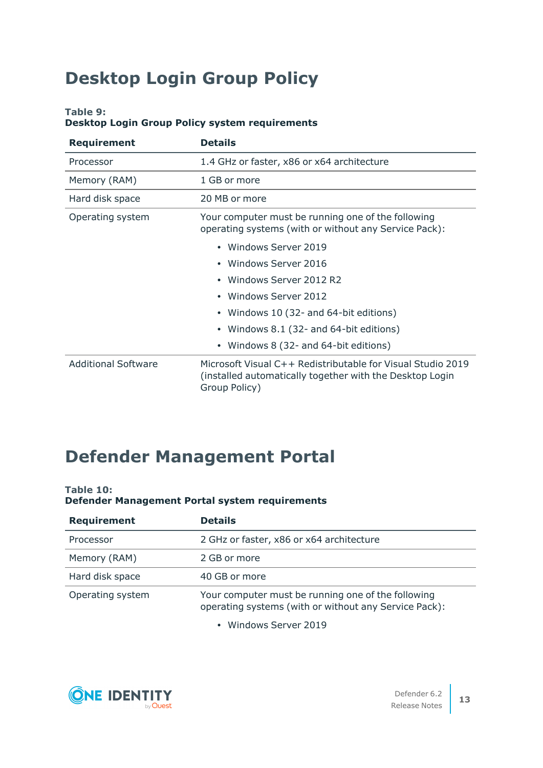# <span id="page-12-0"></span>**Desktop Login Group Policy**

### **Table 9:**

### **Desktop Login Group Policy system requirements**

| <b>Requirement</b>         | <b>Details</b>                                                                                                                           |
|----------------------------|------------------------------------------------------------------------------------------------------------------------------------------|
| Processor                  | 1.4 GHz or faster, x86 or x64 architecture                                                                                               |
| Memory (RAM)               | 1 GB or more                                                                                                                             |
| Hard disk space            | 20 MB or more                                                                                                                            |
| Operating system           | Your computer must be running one of the following<br>operating systems (with or without any Service Pack):                              |
|                            | • Windows Server 2019                                                                                                                    |
|                            | • Windows Server 2016                                                                                                                    |
|                            | Windows Server 2012 R2                                                                                                                   |
|                            | Windows Server 2012                                                                                                                      |
|                            | Windows 10 (32- and 64-bit editions)                                                                                                     |
|                            | Windows 8.1 (32- and 64-bit editions)                                                                                                    |
|                            | Windows 8 (32- and 64-bit editions)                                                                                                      |
| <b>Additional Software</b> | Microsoft Visual C++ Redistributable for Visual Studio 2019<br>(installed automatically together with the Desktop Login<br>Group Policy) |

## <span id="page-12-1"></span>**Defender Management Portal**

### **Table 10:**

## **Defender Management Portal system requirements**

| <b>Requirement</b> | <b>Details</b>                                                                                              |
|--------------------|-------------------------------------------------------------------------------------------------------------|
| Processor          | 2 GHz or faster, x86 or x64 architecture                                                                    |
| Memory (RAM)       | 2 GB or more                                                                                                |
| Hard disk space    | 40 GB or more                                                                                               |
| Operating system   | Your computer must be running one of the following<br>operating systems (with or without any Service Pack): |

• Windows Server 2019

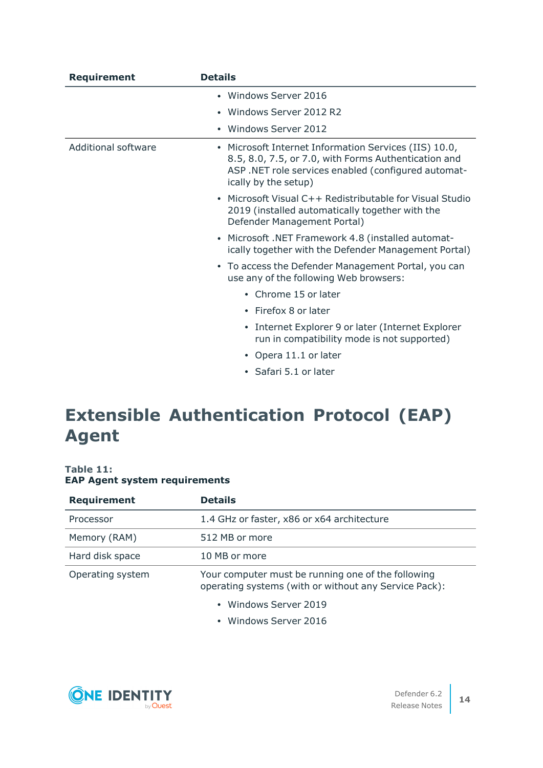| <b>Requirement</b>         | <b>Details</b>                                                                                                                                                                              |
|----------------------------|---------------------------------------------------------------------------------------------------------------------------------------------------------------------------------------------|
|                            | • Windows Server 2016                                                                                                                                                                       |
|                            | Windows Server 2012 R2                                                                                                                                                                      |
|                            | Windows Server 2012                                                                                                                                                                         |
| <b>Additional software</b> | • Microsoft Internet Information Services (IIS) 10.0,<br>8.5, 8.0, 7.5, or 7.0, with Forms Authentication and<br>ASP.NET role services enabled (configured automat-<br>ically by the setup) |
|                            | • Microsoft Visual C++ Redistributable for Visual Studio<br>2019 (installed automatically together with the<br>Defender Management Portal)                                                  |
|                            | Microsoft .NET Framework 4.8 (installed automat-<br>ically together with the Defender Management Portal)                                                                                    |
|                            | • To access the Defender Management Portal, you can<br>use any of the following Web browsers:                                                                                               |
|                            | • Chrome 15 or later                                                                                                                                                                        |
|                            | • Firefox 8 or later                                                                                                                                                                        |
|                            | • Internet Explorer 9 or later (Internet Explorer<br>run in compatibility mode is not supported)                                                                                            |
|                            | • Opera 11.1 or later                                                                                                                                                                       |
|                            | · Safari 5.1 or later                                                                                                                                                                       |

## <span id="page-13-0"></span>**Extensible Authentication Protocol (EAP) Agent**

### **Table 11: EAP Agent system requirements**

| <b>Requirement</b> | <b>Details</b>                                                                                              |
|--------------------|-------------------------------------------------------------------------------------------------------------|
| Processor          | 1.4 GHz or faster, x86 or x64 architecture                                                                  |
| Memory (RAM)       | 512 MB or more                                                                                              |
| Hard disk space    | 10 MB or more                                                                                               |
| Operating system   | Your computer must be running one of the following<br>operating systems (with or without any Service Pack): |
|                    | • Windows Server 2019                                                                                       |
|                    | • Windows Server 2016                                                                                       |

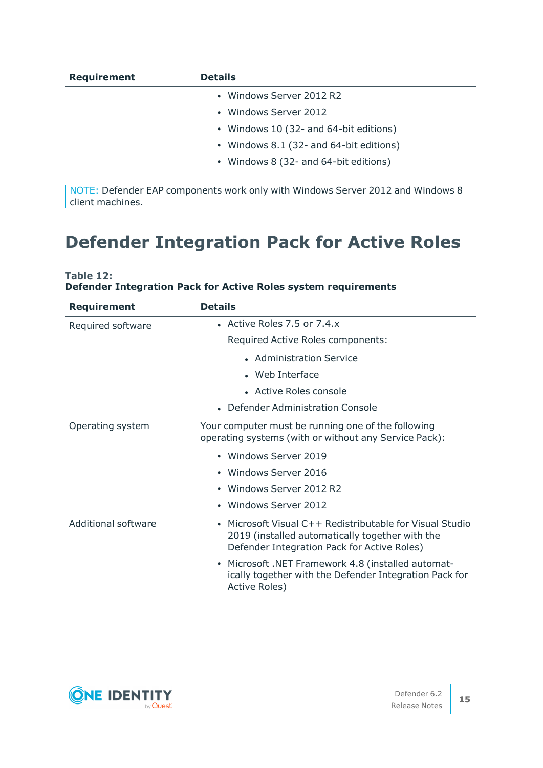| <b>Requirement</b> | <b>Details</b>                          |
|--------------------|-----------------------------------------|
|                    | • Windows Server 2012 R2                |
|                    | • Windows Server 2012                   |
|                    | • Windows 10 (32- and 64-bit editions)  |
|                    | • Windows 8.1 (32- and 64-bit editions) |
|                    | • Windows 8 (32- and 64-bit editions)   |

NOTE: Defender EAP components work only with Windows Server 2012 and Windows 8 client machines.

## <span id="page-14-0"></span>**Defender Integration Pack for Active Roles**

| Table 12: |  |                                                                       |  |  |
|-----------|--|-----------------------------------------------------------------------|--|--|
|           |  | <b>Defender Integration Pack for Active Roles system requirements</b> |  |  |

| <b>Requirement</b>         | <b>Details</b>                                                                                                                                           |
|----------------------------|----------------------------------------------------------------------------------------------------------------------------------------------------------|
| Required software          | • Active Roles $7.5$ or $7.4.x$                                                                                                                          |
|                            | Required Active Roles components:                                                                                                                        |
|                            | • Administration Service                                                                                                                                 |
|                            | • Web Interface                                                                                                                                          |
|                            | • Active Roles console                                                                                                                                   |
|                            | Defender Administration Console                                                                                                                          |
| Operating system           | Your computer must be running one of the following<br>operating systems (with or without any Service Pack):                                              |
|                            | Windows Server 2019                                                                                                                                      |
|                            | Windows Server 2016                                                                                                                                      |
|                            | Windows Server 2012 R2                                                                                                                                   |
|                            | Windows Server 2012                                                                                                                                      |
| <b>Additional software</b> | Microsoft Visual C++ Redistributable for Visual Studio<br>2019 (installed automatically together with the<br>Defender Integration Pack for Active Roles) |
|                            | Microsoft .NET Framework 4.8 (installed automat-<br>$\bullet$<br>ically together with the Defender Integration Pack for<br>Active Roles)                 |

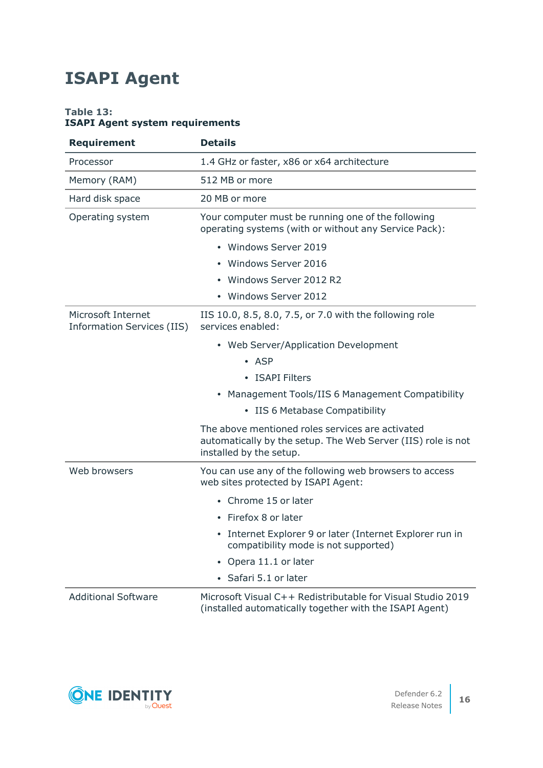# <span id="page-15-0"></span>**ISAPI Agent**

### **Table 13: ISAPI Agent system requirements**

| <b>Requirement</b>                                      | <b>Details</b>                                                                                                                              |
|---------------------------------------------------------|---------------------------------------------------------------------------------------------------------------------------------------------|
| Processor                                               | 1.4 GHz or faster, x86 or x64 architecture                                                                                                  |
| Memory (RAM)                                            | 512 MB or more                                                                                                                              |
| Hard disk space                                         | 20 MB or more                                                                                                                               |
| Operating system                                        | Your computer must be running one of the following<br>operating systems (with or without any Service Pack):                                 |
|                                                         | • Windows Server 2019                                                                                                                       |
|                                                         | • Windows Server 2016                                                                                                                       |
|                                                         | Windows Server 2012 R2                                                                                                                      |
|                                                         | • Windows Server 2012                                                                                                                       |
| Microsoft Internet<br><b>Information Services (IIS)</b> | IIS 10.0, 8.5, 8.0, 7.5, or 7.0 with the following role<br>services enabled:                                                                |
|                                                         | • Web Server/Application Development                                                                                                        |
|                                                         | $\bullet$ ASP                                                                                                                               |
|                                                         | • ISAPI Filters                                                                                                                             |
|                                                         | • Management Tools/IIS 6 Management Compatibility                                                                                           |
|                                                         | • IIS 6 Metabase Compatibility                                                                                                              |
|                                                         | The above mentioned roles services are activated<br>automatically by the setup. The Web Server (IIS) role is not<br>installed by the setup. |
| Web browsers                                            | You can use any of the following web browsers to access<br>web sites protected by ISAPI Agent:                                              |
|                                                         | • Chrome 15 or later                                                                                                                        |
|                                                         | • Firefox 8 or later                                                                                                                        |
|                                                         | • Internet Explorer 9 or later (Internet Explorer run in<br>compatibility mode is not supported)                                            |
|                                                         | Opera 11.1 or later                                                                                                                         |
|                                                         | • Safari 5.1 or later                                                                                                                       |
| <b>Additional Software</b>                              | Microsoft Visual C++ Redistributable for Visual Studio 2019<br>(installed automatically together with the ISAPI Agent)                      |

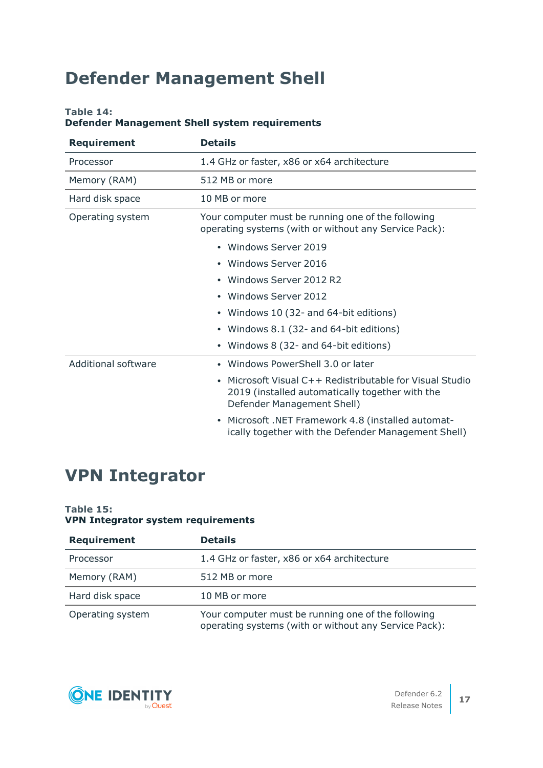## <span id="page-16-0"></span>**Defender Management Shell**

### **Table 14:**

### **Defender Management Shell system requirements**

| <b>Requirement</b>         | <b>Details</b>                                                                                                                          |
|----------------------------|-----------------------------------------------------------------------------------------------------------------------------------------|
| Processor                  | 1.4 GHz or faster, x86 or x64 architecture                                                                                              |
| Memory (RAM)               | 512 MB or more                                                                                                                          |
| Hard disk space            | 10 MB or more                                                                                                                           |
| Operating system           | Your computer must be running one of the following<br>operating systems (with or without any Service Pack):                             |
|                            | • Windows Server 2019                                                                                                                   |
|                            | • Windows Server 2016                                                                                                                   |
|                            | • Windows Server 2012 R2                                                                                                                |
|                            | • Windows Server 2012                                                                                                                   |
|                            | • Windows 10 (32- and 64-bit editions)                                                                                                  |
|                            | Windows 8.1 (32- and 64-bit editions)<br>$\bullet$                                                                                      |
|                            | • Windows 8 (32- and 64-bit editions)                                                                                                   |
| <b>Additional software</b> | • Windows PowerShell 3.0 or later                                                                                                       |
|                            | Microsoft Visual C++ Redistributable for Visual Studio<br>2019 (installed automatically together with the<br>Defender Management Shell) |
|                            | Microsoft .NET Framework 4.8 (installed automat-<br>ically together with the Defender Management Shell)                                 |

## <span id="page-16-1"></span>**VPN Integrator**

### **Table 15: VPN Integrator system requirements**

| <b>Requirement</b> | <b>Details</b>                                                                                              |
|--------------------|-------------------------------------------------------------------------------------------------------------|
| Processor          | 1.4 GHz or faster, x86 or x64 architecture                                                                  |
| Memory (RAM)       | 512 MB or more                                                                                              |
| Hard disk space    | 10 MB or more                                                                                               |
| Operating system   | Your computer must be running one of the following<br>operating systems (with or without any Service Pack): |

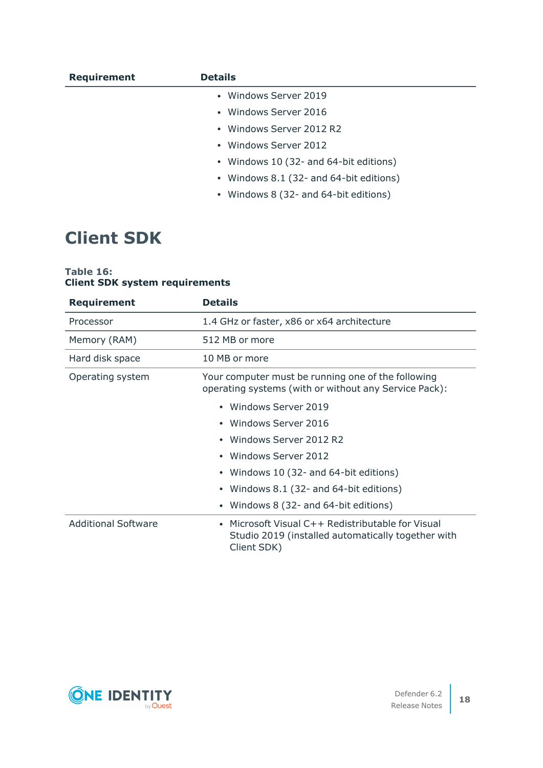| <b>Requirement</b> | <b>Details</b>                          |
|--------------------|-----------------------------------------|
|                    | • Windows Server 2019                   |
|                    | • Windows Server 2016                   |
|                    | • Windows Server 2012 R2                |
|                    | • Windows Server 2012                   |
|                    | • Windows 10 (32- and 64-bit editions)  |
|                    | • Windows 8.1 (32- and 64-bit editions) |
|                    | • Windows 8 (32- and 64-bit editions)   |
|                    |                                         |

## <span id="page-17-0"></span>**Client SDK**

### **Table 16: Client SDK system requirements**

| <b>Requirement</b>         | <b>Details</b>                                                                                                                    |
|----------------------------|-----------------------------------------------------------------------------------------------------------------------------------|
| Processor                  | 1.4 GHz or faster, x86 or x64 architecture                                                                                        |
| Memory (RAM)               | 512 MB or more                                                                                                                    |
| Hard disk space            | 10 MB or more                                                                                                                     |
| Operating system           | Your computer must be running one of the following<br>operating systems (with or without any Service Pack):                       |
|                            | • Windows Server 2019                                                                                                             |
|                            | • Windows Server 2016                                                                                                             |
|                            | Windows Server 2012 R2<br>٠                                                                                                       |
|                            | Windows Server 2012<br>$\bullet$                                                                                                  |
|                            | Windows 10 (32- and 64-bit editions)                                                                                              |
|                            | Windows 8.1 (32- and 64-bit editions)<br>$\bullet$                                                                                |
|                            | Windows 8 (32- and 64-bit editions)<br>٠                                                                                          |
| <b>Additional Software</b> | Microsoft Visual C++ Redistributable for Visual<br>$\bullet$<br>Studio 2019 (installed automatically together with<br>Client SDK) |

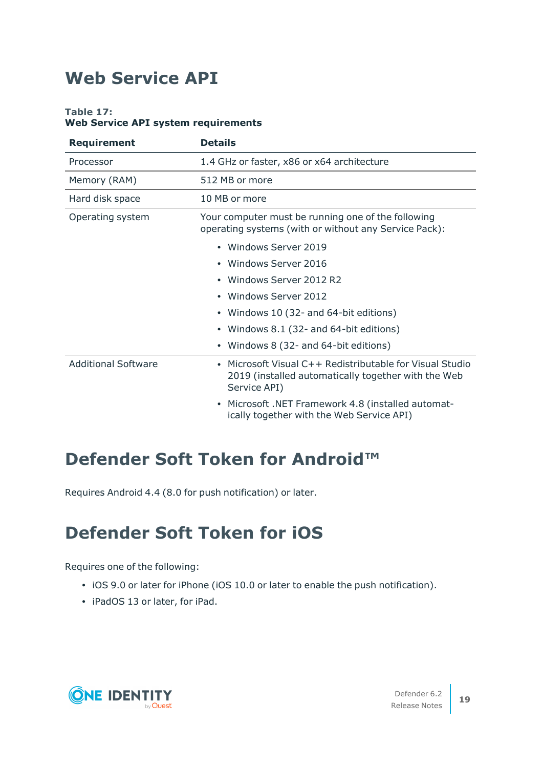## <span id="page-18-0"></span>**Web Service API**

## **Table 17:**

### **Web Service API system requirements**

| <b>Requirement</b>         | <b>Details</b>                                                                                                                |
|----------------------------|-------------------------------------------------------------------------------------------------------------------------------|
| Processor                  | 1.4 GHz or faster, x86 or x64 architecture                                                                                    |
| Memory (RAM)               | 512 MB or more                                                                                                                |
| Hard disk space            | 10 MB or more                                                                                                                 |
| Operating system           | Your computer must be running one of the following<br>operating systems (with or without any Service Pack):                   |
|                            | • Windows Server 2019                                                                                                         |
|                            | Windows Server 2016                                                                                                           |
|                            | Windows Server 2012 R2                                                                                                        |
|                            | Windows Server 2012                                                                                                           |
|                            | Windows 10 (32- and 64-bit editions)                                                                                          |
|                            | Windows 8.1 (32- and 64-bit editions)                                                                                         |
|                            | Windows 8 (32- and 64-bit editions)                                                                                           |
| <b>Additional Software</b> | Microsoft Visual C++ Redistributable for Visual Studio<br>2019 (installed automatically together with the Web<br>Service API) |
|                            | Microsoft .NET Framework 4.8 (installed automat-<br>ically together with the Web Service API)                                 |

## <span id="page-18-1"></span>**Defender Soft Token for Android™**

<span id="page-18-2"></span>Requires Android 4.4 (8.0 for push notification) or later.

## **Defender Soft Token for iOS**

Requires one of the following:

- iOS 9.0 or later for iPhone (iOS 10.0 or later to enable the push notification).
- iPadOS 13 or later, for iPad.

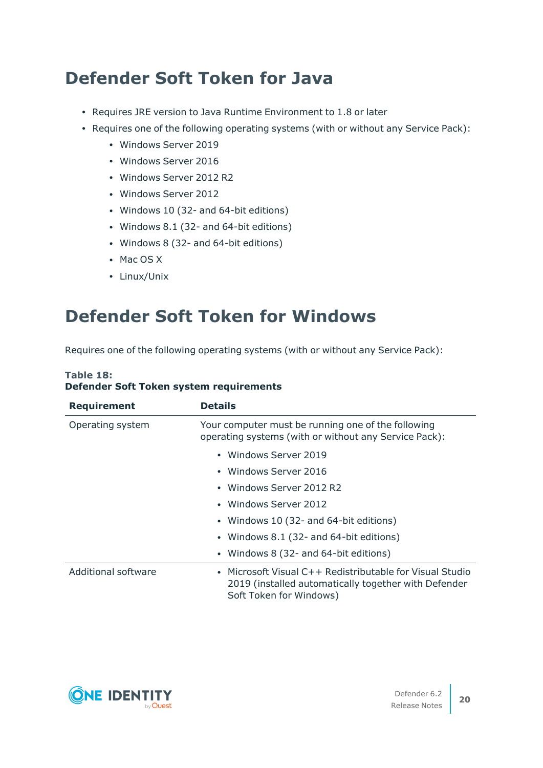## <span id="page-19-0"></span>**Defender Soft Token for Java**

- Requires JRE version to Java Runtime Environment to 1.8 or later
- Requires one of the following operating systems (with or without any Service Pack):
	- Windows Server 2019
	- Windows Server 2016
	- Windows Server 2012 R2
	- Windows Server 2012
	- Windows 10 (32- and 64-bit editions)
	- Windows 8.1 (32- and 64-bit editions)
	- Windows 8 (32- and 64-bit editions)
	- $\bullet$  Mac OS X
	- Linux/Unix

## <span id="page-19-1"></span>**Defender Soft Token for Windows**

Requires one of the following operating systems (with or without any Service Pack):

## **Table 18: Defender Soft Token system requirements**

| <b>Requirement</b>         | <b>Details</b>                                                                                                                              |
|----------------------------|---------------------------------------------------------------------------------------------------------------------------------------------|
| Operating system           | Your computer must be running one of the following<br>operating systems (with or without any Service Pack):                                 |
|                            | • Windows Server 2019                                                                                                                       |
|                            | • Windows Server 2016                                                                                                                       |
|                            | • Windows Server 2012 R2                                                                                                                    |
|                            | • Windows Server 2012                                                                                                                       |
|                            | • Windows 10 (32- and 64-bit editions)                                                                                                      |
|                            | • Windows 8.1 (32- and 64-bit editions)                                                                                                     |
|                            | • Windows 8 (32- and 64-bit editions)                                                                                                       |
| <b>Additional software</b> | • Microsoft Visual C++ Redistributable for Visual Studio<br>2019 (installed automatically together with Defender<br>Soft Token for Windows) |

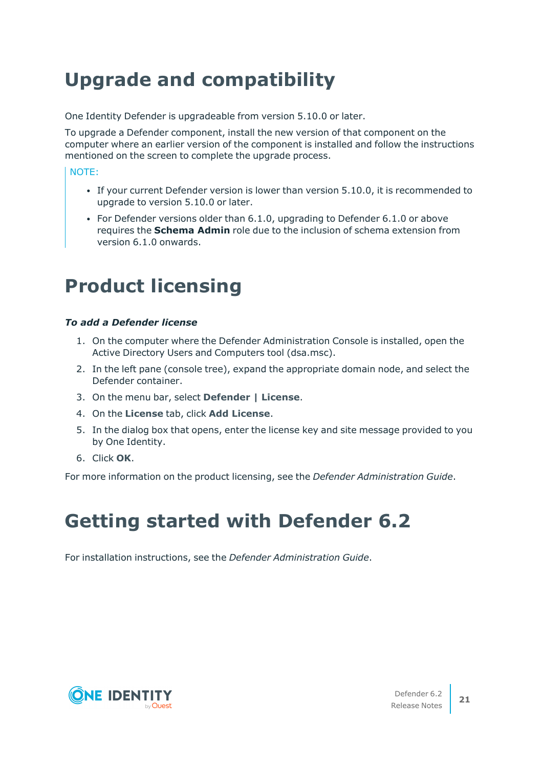# **Upgrade and compatibility**

One Identity Defender is upgradeable from version 5.10.0 or later.

To upgrade a Defender component, install the new version of that component on the computer where an earlier version of the component is installed and follow the instructions mentioned on the screen to complete the upgrade process.

### NOTE:

- If your current Defender version is lower than version 5.10.0, it is recommended to upgrade to version 5.10.0 or later.
- For Defender versions older than 6.1.0, upgrading to Defender 6.1.0 or above requires the **Schema Admin** role due to the inclusion of schema extension from version 6.1.0 onwards.

# <span id="page-20-0"></span>**Product licensing**

### *To add a Defender license*

- 1. On the computer where the Defender Administration Console is installed, open the Active Directory Users and Computers tool (dsa.msc).
- 2. In the left pane (console tree), expand the appropriate domain node, and select the Defender container.
- 3. On the menu bar, select **Defender | License**.
- 4. On the **License** tab, click **Add License**.
- 5. In the dialog box that opens, enter the license key and site message provided to you by One Identity.
- 6. Click **OK**.

<span id="page-20-1"></span>For more information on the product licensing, see the *Defender Administration Guide*.

# **Getting started with Defender 6.2**

For installation instructions, see the *Defender Administration Guide*.

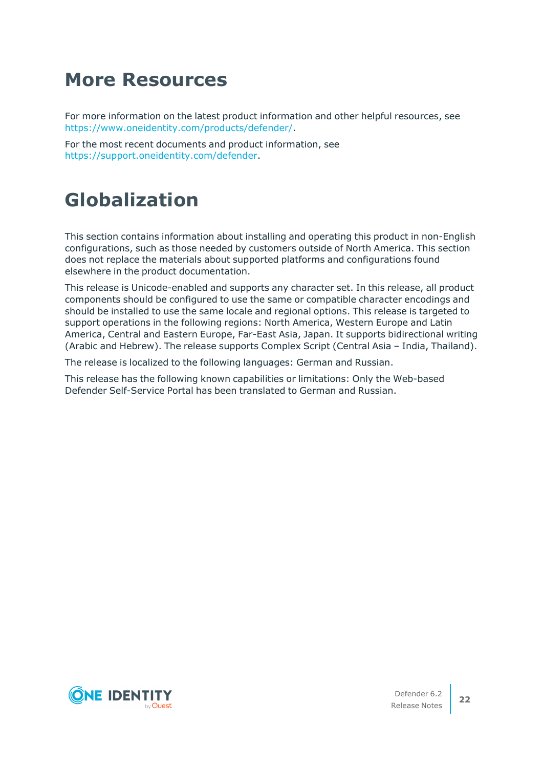# <span id="page-21-0"></span>**More Resources**

For more information on the latest product information and other helpful resources, see <https://www.oneidentity.com/products/defender/>.

For the most recent documents and product information, see <https://support.oneidentity.com/defender>.

# <span id="page-21-1"></span>**Globalization**

This section contains information about installing and operating this product in non-English configurations, such as those needed by customers outside of North America. This section does not replace the materials about supported platforms and configurations found elsewhere in the product documentation.

This release is Unicode-enabled and supports any character set. In this release, all product components should be configured to use the same or compatible character encodings and should be installed to use the same locale and regional options. This release is targeted to support operations in the following regions: North America, Western Europe and Latin America, Central and Eastern Europe, Far-East Asia, Japan. It supports bidirectional writing (Arabic and Hebrew). The release supports Complex Script (Central Asia – India, Thailand).

The release is localized to the following languages: German and Russian.

This release has the following known capabilities or limitations: Only the Web-based Defender Self-Service Portal has been translated to German and Russian.

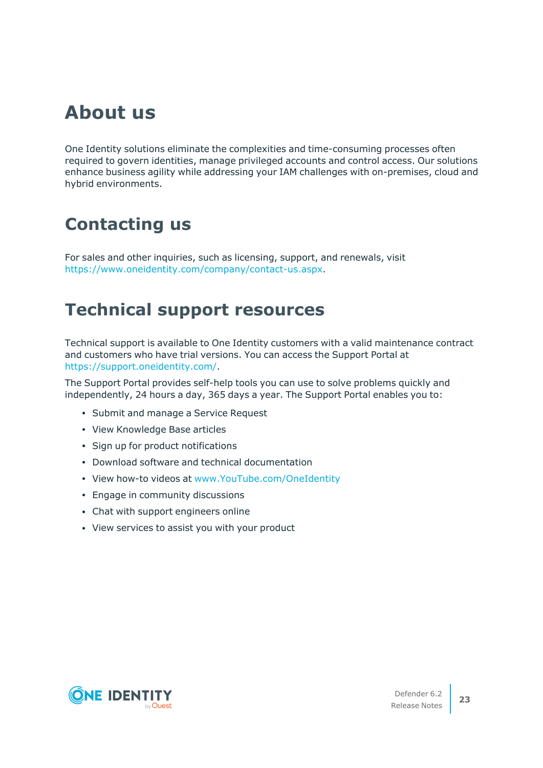# <span id="page-22-0"></span>**About us**

One Identity solutions eliminate the complexities and time-consuming processes often required to govern identities, manage privileged accounts and control access. Our solutions enhance business agility while addressing your IAM challenges with on-premises, cloud and hybrid environments.

## **Contacting us**

For sales and other inquiries, such as licensing, support, and renewals, visit [https://www.oneidentity.com/company/contact-us.aspx.](https://www.oneidentity.com/company/contact-us.aspx)

## **Technical support resources**

Technical support is available to One Identity customers with a valid maintenance contract and customers who have trial versions. You can access the Support Portal at [https://support.oneidentity.com/.](https://support.oneidentity.com/)

The Support Portal provides self-help tools you can use to solve problems quickly and independently, 24 hours a day, 365 days a year. The Support Portal enables you to:

- Submit and manage a Service Request
- View Knowledge Base articles
- Sign up for product notifications
- Download software and technical documentation
- View how-to videos at [www.YouTube.com/OneIdentity](http://www.youtube.com/OneIdentity)
- Engage in community discussions
- Chat with support engineers online
- View services to assist you with your product

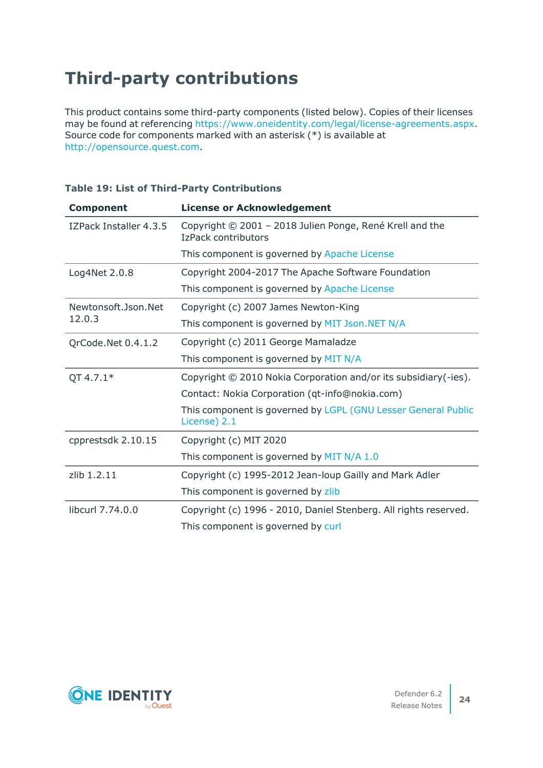# **Third-party contributions**

This product contains some third-party components (listed below). Copies of their licenses may be found at referencing <https://www.oneidentity.com/legal/license-agreements.aspx>. Source code for components marked with an asterisk (\*) is available at [http://opensource.quest.com.](http://opensource.quest.com/)

| <b>Component</b>              | <b>License or Acknowledgement</b>                                               |
|-------------------------------|---------------------------------------------------------------------------------|
| IZPack Installer 4.3.5        | Copyright © 2001 - 2018 Julien Ponge, René Krell and the<br>IzPack contributors |
|                               | This component is governed by Apache License                                    |
| Log4Net 2.0.8                 | Copyright 2004-2017 The Apache Software Foundation                              |
|                               | This component is governed by Apache License                                    |
| Newtonsoft.Json.Net<br>12.0.3 | Copyright (c) 2007 James Newton-King                                            |
|                               | This component is governed by MIT Json. NET N/A                                 |
| QrCode.Net 0.4.1.2            | Copyright (c) 2011 George Mamaladze                                             |
|                               | This component is governed by MIT N/A                                           |
| $QT 4.7.1*$                   | Copyright © 2010 Nokia Corporation and/or its subsidiary(-ies).                 |
|                               | Contact: Nokia Corporation (qt-info@nokia.com)                                  |
|                               | This component is governed by LGPL (GNU Lesser General Public<br>License) 2.1   |
| cpprestsdk 2.10.15            | Copyright (c) MIT 2020                                                          |
|                               | This component is governed by MIT N/A 1.0                                       |
| zlib 1.2.11                   | Copyright (c) 1995-2012 Jean-loup Gailly and Mark Adler                         |
|                               | This component is governed by zlib                                              |
| libcurl 7.74.0.0              | Copyright (c) 1996 - 2010, Daniel Stenberg. All rights reserved.                |
|                               | This component is governed by curl                                              |

## **Table 19: List of Third-Party Contributions**